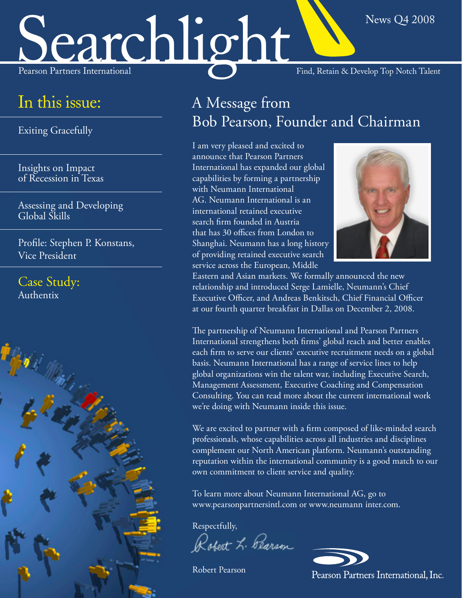# News Q4 2008<br>Pearson Partners International Find, Retain & Develop Top Notch Talent

## In this issue:

[Exiting Gracefully](#page-1-0) 

[of Recession in Texas](#page-2-0)  Insights on Impact

[Assessing and Developing](#page-2-0) Global Skills

[Profile: Stephen P. Konstans,](#page-4-0)  Vice President

[Case Study:](#page-3-0)  Authentix



A Message from Bob Pearson, Founder and Chairman

capabilities by forming a partnership with Neumann International AG. Neumann International is an international retained executive search firm founded in Austria that has 30 offices from London to Shanghai. Neumann has a long history of providing retained executive search service across the European, Middle I am very pleased and excited to announce that Pearson Partners International has expanded our global



Eastern and Asian markets. We formally announced the new relationship and introduced Serge Lamielle, Neumann's Chief Executive Officer, and Andreas Benkitsch, Chief Financial Officer at our fourth quarter breakfast in Dallas on December 2, 2008.

The partnership of Neumann International and Pearson Partners International strengthens both firms' global reach and better enables each firm to serve our clients' executive recruitment needs on a global basis. Neumann International has a range of service lines to help global organizations win the talent war, including Executive Search, Management Assessment, Executive Coaching and Compensation Consulting. You can read more about the current international work we're doing with Neumann inside this issue.

We are excited to partner with a firm composed of like-minded search professionals, whose capabilities across all industries and disciplines complement our North American platform. Neumann's outstanding reputation within the international community is a good match to our own commitment to client service and quality.

- www.pearsonpartnersintl.com or www.neumann inter.com. To learn more about Neumann International AG, go to

Respectfully,

Robert L. Pearson

Robert Pearson

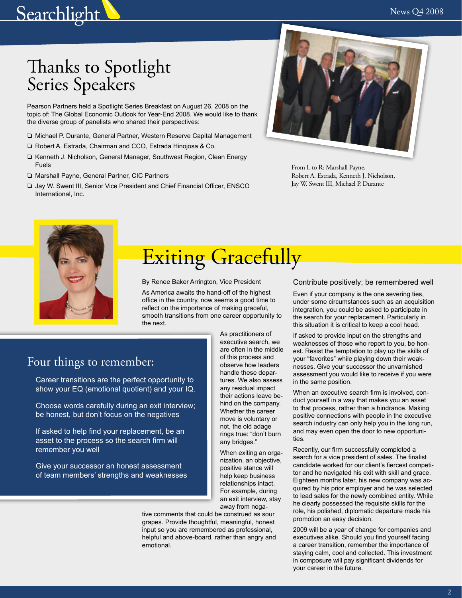## <span id="page-1-0"></span>Searchlight News Q4 2008

# Thanks to Spotlight Series Speakers

Pearson Partners held a Spotlight Series Breakfast on August 26, 2008 on the topic of: The Global Economic Outlook for Year-End 2008. We would like to thank the diverse group of panelists who shared their perspectives:

- ❏ Michael P. Durante, General Partner, Western Reserve Capital Management
- ❏ Robert A. Estrada, Chairman and CCO, Estrada Hinojosa & Co.
- ❏ Kenneth J. Nicholson, General Manager, Southwest Region, Clean Energy Fuels
- ❏ Marshall Payne, General Partner, CIC Partners
- ❏ Jay W. Swent III, Senior Vice President and Chief Financial Officer, ENSCO International, Inc.



From L to R: Marshall Payne, Robert A. Estrada, Kenneth J. Nicholson, Jay W. Swent III, Michael P. Durante



## Exiting Gracefully

By Renee Baker Arrington, Vice President

As America awaits the hand-off of the highest office in the country, now seems a good time to reflect on the importance of making graceful, smooth transitions from one career opportunity to the next.

### Four things to remember:

• Career transitions are the perfect opportunity to show your EQ (emotional quotient) and your IQ.

• Choose words carefully during an exit interview; be honest, but don't focus on the negatives

• If asked to help find your replacement, be an asset to the process so the search firm will remember you well

• Give your successor an honest assessment of team members' strengths and weaknesses As practitioners of executive search, we are often in the middle of this process and observe how leaders handle these departures. We also assess any residual impact their actions leave behind on the company. Whether the career move is voluntary or not, the old adage rings true: "don't burn any bridges."

When exiting an organization, an objective, positive stance will help keep business relationships intact. For example, during an exit interview, stay away from nega-

tive comments that could be construed as sour grapes. Provide thoughtful, meaningful, honest input so you are remembered as professional, helpful and above-board, rather than angry and emotional.

#### Contribute positively; be remembered well

Even if your company is the one severing ties, under some circumstances such as an acquisition integration, you could be asked to participate in the search for your replacement. Particularly in this situation it is critical to keep a cool head.

If asked to provide input on the strengths and weaknesses of those who report to you, be honest. Resist the temptation to play up the skills of your "favorites" while playing down their weaknesses. Give your successor the unvarnished assessment you would like to receive if you were in the same position.

When an executive search firm is involved, conduct yourself in a way that makes you an asset to that process, rather than a hindrance. Making positive connections with people in the executive search industry can only help you in the long run, and may even open the door to new opportunities.

Recently, our firm successfully completed a search for a vice president of sales. The finalist candidate worked for our client's fiercest competitor and he navigated his exit with skill and grace. Eighteen months later, his new company was acquired by his prior employer and he was selected to lead sales for the newly combined entity. While he clearly possessed the requisite skills for the role, his polished, diplomatic departure made his promotion an easy decision.

2009 will be a year of change for companies and executives alike. Should you find yourself facing a career transition, remember the importance of staying calm, cool and collected. This investment in composure will pay significant dividends for your career in the future.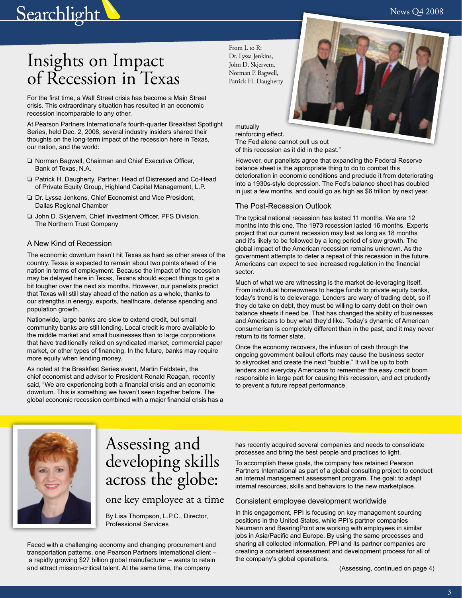<span id="page-2-0"></span>

# Insights on Impact of Recession in Texas

For the first time, a Wall Street crisis has become a Main Street crisis. This extraordinary situation has resulted in an economic recession incomparable to any other.

At Pearson Partners International's fourth-quarter Breakfast Spotlight Series, held Dec. 2, 2008, several industry insiders shared their thoughts on the long-term impact of the recession here in Texas, our nation, and the world:

- ❏ Norman Bagwell, Chairman and Chief Executive Officer, Bank of Texas, N.A.
- ❏ Patrick H. Daugherty, Partner, Head of Distressed and Co-Head of Private Equity Group, Highland Capital Management, L.P.
- ❏ Dr. Lyssa Jenkens, Chief Economist and Vice President, Dallas Regional Chamber
- ❏ John D. Skjervem, Chief Investment Officer, PFS Division, The Northern Trust Company

#### A New Kind of Recession

The economic downturn hasn't hit Texas as hard as other areas of the country. Texas is expected to remain about two points ahead of the nation in terms of employment. Because the impact of the recession may be delayed here in Texas, Texans should expect things to get a bit tougher over the next six months. However, our panelists predict that Texas will still stay ahead of the nation as a whole, thanks to our strengths in energy, exports, healthcare, defense spending and population growth.

Nationwide, large banks are slow to extend credit, but small community banks are still lending. Local credit is more available to the middle market and small businesses than to large corporations that have traditionally relied on syndicated market, commercial paper market, or other types of financing. In the future, banks may require more equity when lending money.

As noted at the Breakfast Series event, Martin Feldstein, the chief economist and advisor to President Ronald Reagan, recently said, "We are experiencing both a financial crisis and an economic downturn. This is something we haven't seen together before. The global economic recession combined with a major financial crisis has a

From L to R: Dr. Lyssa Jenkins, John D. Skjervem, Norman P. Bagwell, Patrick H. Daugherty

> mutually reinforcing effect. The Fed alone cannot pull us out of this recession as it did in the past."

However, our panelists agree that expanding the Federal Reserve balance sheet is the appropriate thing to do to combat this deterioration in economic conditions and preclude it from deteriorating into a 1930s-style depression. The Fed's balance sheet has doubled in just a few months, and could go as high as \$6 trillion by next year.

#### The Post-Recession Outlook

The typical national recession has lasted 11 months. We are 12 months into this one. The 1973 recession lasted 16 months. Experts project that our current recession may last as long as 18 months and it's likely to be followed by a long period of slow growth. The global impact of the American recession remains unknown. As the government attempts to deter a repeat of this recession in the future, Americans can expect to see increased regulation in the financial sector.

Much of what we are witnessing is the market de-leveraging itself. From individual homeowners to hedge funds to private equity banks, today's trend is to deleverage. Lenders are wary of trading debt, so if they do take on debt, they must be willing to carry debt on their own balance sheets if need be. That has changed the ability of businesses and Americans to buy what they'd like. Today's dynamic of American consumerism is completely different than in the past, and it may never return to its former state.

Once the economy recovers, the infusion of cash through the ongoing government bailout efforts may cause the business sector to skyrocket and create the next "bubble." It will be up to both lenders and everyday Americans to remember the easy credit boom responsible in large part for causing this recession, and act prudently to prevent a future repeat performance.



## Assessing and developing skills across the globe:

### one key employee at a time

By Lisa Thompson, L.P.C., Director, Professional Services

Faced with a challenging economy and changing procurement and transportation patterns, one Pearson Partners International client – a rapidly growing \$27 billion global manufacturer – wants to retain and attract mission-critical talent. At the same time, the company

has recently acquired several companies and needs to consolidate processes and bring the best people and practices to light.

To accomplish these goals, the company has retained Pearson Partners International as part of a global consulting project to conduct an internal management assessment program. The goal: to adapt internal resources, skills and behaviors to the new marketplace.

#### Consistent employee development worldwide

In this engagement, PPI is focusing on key management sourcing positions in the United States, while PPI's partner companies Neumann and BearingPoint are working with employees in similar jobs in Asia/Pacific and Europe. By using the same processes and sharing all collected information, PPI and its partner companies are creating a consistent assessment and development process for all of the company's global operations.

(Assessing, continued on page 4)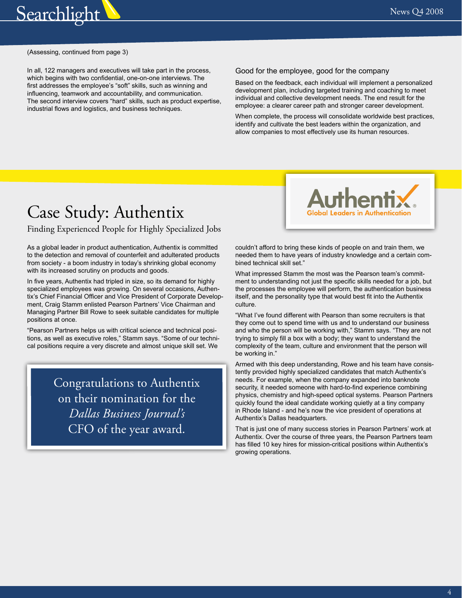<span id="page-3-0"></span>

#### (Assessing, continued from page 3)

In all, 122 managers and executives will take part in the process, which begins with two confidential, one-on-one interviews. The first addresses the employee's "soft" skills, such as winning and influencing, teamwork and accountability, and communication. The second interview covers "hard" skills, such as product expertise, industrial flows and logistics, and business techniques.

#### Good for the employee, good for the company

Based on the feedback, each individual will implement a personalized development plan, including targeted training and coaching to meet individual and collective development needs. The end result for the employee: a clearer career path and stronger career development.

When complete, the process will consolidate worldwide best practices, identify and cultivate the best leaders within the organization, and allow companies to most effectively use its human resources.

## Case Study: Authentix

#### Finding Experienced People for Highly Specialized Jobs

As a global leader in product authentication, Authentix is committed to the detection and removal of counterfeit and adulterated products from society - a boom industry in today's shrinking global economy with its increased scrutiny on products and goods.

In five years, Authentix had tripled in size, so its demand for highly specialized employees was growing. On several occasions, Authentix's Chief Financial Officer and Vice President of Corporate Development, Craig Stamm enlisted Pearson Partners' Vice Chairman and Managing Partner Bill Rowe to seek suitable candidates for multiple positions at once.

"Pearson Partners helps us with critical science and technical positions, as well as executive roles," Stamm says. "Some of our technical positions require a very discrete and almost unique skill set. We

> Congratulations to Authentix on their nomination for the *Dallas Business Journal's*  CFO of the year award.



couldn't afford to bring these kinds of people on and train them, we needed them to have years of industry knowledge and a certain combined technical skill set."

What impressed Stamm the most was the Pearson team's commitment to understanding not just the specific skills needed for a job, but the processes the employee will perform, the authentication business itself, and the personality type that would best fit into the Authentix culture.

"What I've found different with Pearson than some recruiters is that they come out to spend time with us and to understand our business and who the person will be working with," Stamm says. "They are not trying to simply fill a box with a body; they want to understand the complexity of the team, culture and environment that the person will be working in."

Armed with this deep understanding, Rowe and his team have consistently provided highly specialized candidates that match Authentix's needs. For example, when the company expanded into banknote security, it needed someone with hard-to-find experience combining physics, chemistry and high-speed optical systems. Pearson Partners quickly found the ideal candidate working quietly at a tiny company in Rhode Island - and he's now the vice president of operations at Authentix's Dallas headquarters.

That is just one of many success stories in Pearson Partners' work at Authentix. Over the course of three years, the Pearson Partners team has filled 10 key hires for mission-critical positions within Authentix's growing operations.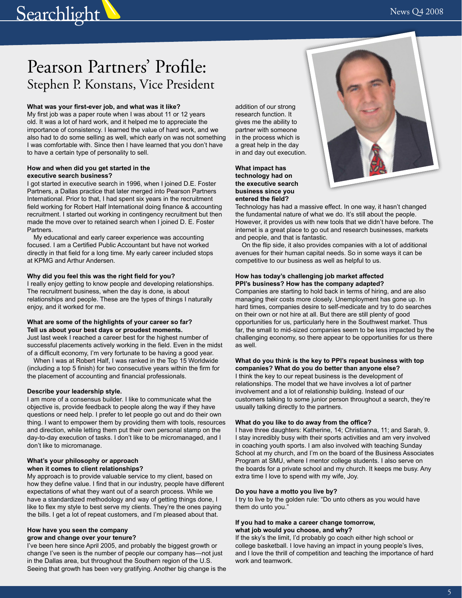## <span id="page-4-0"></span>Searchlight W News Q4 2008

## Pearson Partners' Profile: Stephen P. Konstans, Vice President

#### **What was your first-ever job, and what was it like?**

My first job was a paper route when I was about 11 or 12 years old. It was a lot of hard work, and it helped me to appreciate the importance of consistency. I learned the value of hard work, and we also had to do some selling as well, which early on was not something I was comfortable with. Since then I have learned that you don't have to have a certain type of personality to sell.

#### **How and when did you get started in the executive search business?**

I got started in executive search in 1996, when I joined D.E. Foster Partners, a Dallas practice that later merged into Pearson Partners International. Prior to that, I had spent six years in the recruitment field working for Robert Half International doing finance & accounting recruitment. I started out working in contingency recruitment but then made the move over to retained search when I joined D. E. Foster Partners.

My educational and early career experience was accounting focused. I am a Certified Public Accountant but have not worked directly in that field for a long time. My early career included stops at KPMG and Arthur Andersen.

#### **Why did you feel this was the right field for you?**

I really enjoy getting to know people and developing relationships. The recruitment business, when the day is done, is about relationships and people. These are the types of things I naturally enjoy, and it worked for me.

#### **What are some of the highlights of your career so far? Tell us about your best days or proudest moments.**

Just last week I reached a career best for the highest number of successful placements actively working in the field. Even in the midst of a difficult economy, I'm very fortunate to be having a good year.

When I was at Robert Half, I was ranked in the Top 15 Worldwide (including a top 5 finish) for two consecutive years within the firm for the placement of accounting and financial professionals.

#### **Describe your leadership style.**

I am more of a consensus builder. I like to communicate what the objective is, provide feedback to people along the way if they have questions or need help. I prefer to let people go out and do their own thing. I want to empower them by providing them with tools, resources and direction, while letting them put their own personal stamp on the day-to-day execution of tasks. I don't like to be micromanaged, and I don't like to micromanage.

#### **What's your philosophy or approach when it comes to client relationships?**

My approach is to provide valuable service to my client, based on how they define value. I find that in our industry, people have different expectations of what they want out of a search process. While we have a standardized methodology and way of getting things done, I like to flex my style to best serve my clients. They're the ones paying the bills. I get a lot of repeat customers, and I'm pleased about that.

#### **How have you seen the company grow and change over your tenure?**

I've been here since April 2005, and probably the biggest growth or change I've seen is the number of people our company has—not just in the Dallas area, but throughout the Southern region of the U.S. Seeing that growth has been very gratifying. Another big change is the

addition of our strong research function. It gives me the ability to partner with someone in the process which is a great help in the day in and day out execution.

**What impact has technology had on the executive search business since you entered the field?** 



Technology has had a massive effect. In one way, it hasn't changed the fundamental nature of what we do. It's still about the people. However, it provides us with new tools that we didn't have before. The internet is a great place to go out and research businesses, markets and people, and that is fantastic.

On the flip side, it also provides companies with a lot of additional avenues for their human capital needs. So in some ways it can be competitive to our business as well as helpful to us.

#### **How has today's challenging job market affected PPI's business? How has the company adapted?**

Companies are starting to hold back in terms of hiring, and are also managing their costs more closely. Unemployment has gone up. In hard times, companies desire to self-medicate and try to do searches on their own or not hire at all. But there are still plenty of good opportunities for us, particularly here in the Southwest market. Thus far, the small to mid-sized companies seem to be less impacted by the challenging economy, so there appear to be opportunities for us there as well.

#### **What do you think is the key to PPI's repeat business with top**

**companies? What do you do better than anyone else?**  I think the key to our repeat business is the development of relationships. The model that we have involves a lot of partner involvement and a lot of relationship building. Instead of our customers talking to some junior person throughout a search, they're usually talking directly to the partners.

#### **What do you like to do away from the office?**

I have three daughters: Katherine, 14; Christianna, 11; and Sarah, 9. I stay incredibly busy with their sports activities and am very involved in coaching youth sports. I am also involved with teaching Sunday School at my church, and I'm on the board of the Business Associates Program at SMU, where I mentor college students. I also serve on the boards for a private school and my church. It keeps me busy. Any extra time I love to spend with my wife, Joy.

#### **Do you have a motto you live by?**

I try to live by the golden rule: "Do unto others as you would have them do unto you."

#### **If you had to make a career change tomorrow, what job would you choose, and why?**

If the sky's the limit, I'd probably go coach either high school or college basketball. I love having an impact in young people's lives, and I love the thrill of competition and teaching the importance of hard work and teamwork.